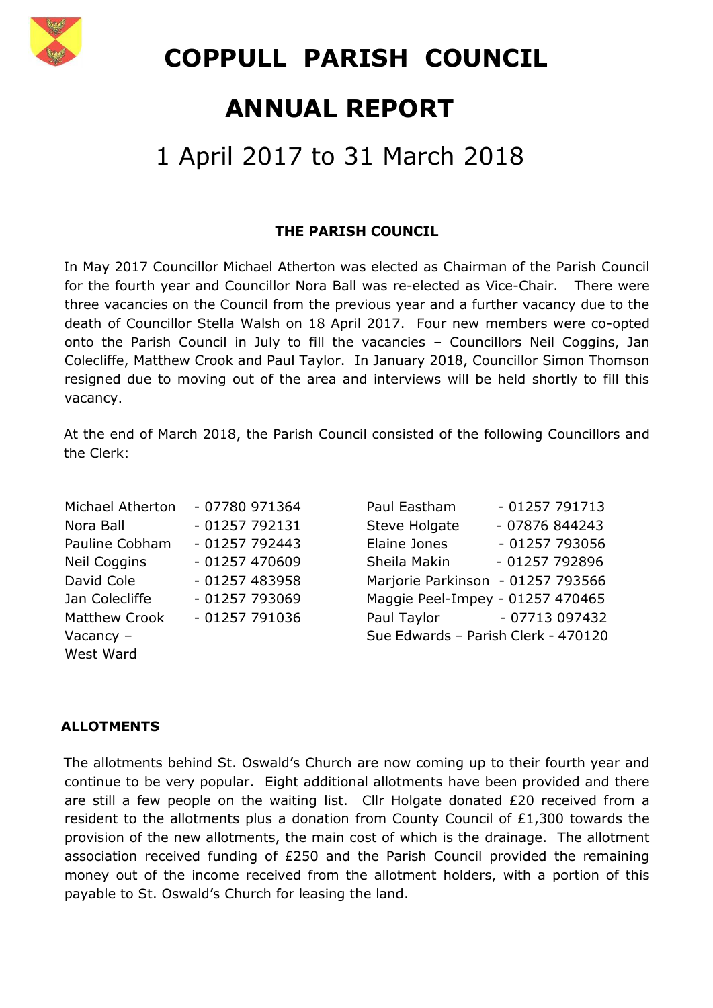

 **COPPULL PARISH COUNCIL**

## **ANNUAL REPORT**

# 1 April 2017 to 31 March 2018

#### **THE PARISH COUNCIL**

In May 2017 Councillor Michael Atherton was elected as Chairman of the Parish Council for the fourth year and Councillor Nora Ball was re-elected as Vice-Chair. There were three vacancies on the Council from the previous year and a further vacancy due to the death of Councillor Stella Walsh on 18 April 2017. Four new members were co-opted onto the Parish Council in July to fill the vacancies – Councillors Neil Coggins, Jan Colecliffe, Matthew Crook and Paul Taylor. In January 2018, Councillor Simon Thomson resigned due to moving out of the area and interviews will be held shortly to fill this vacancy.

At the end of March 2018, the Parish Council consisted of the following Councillors and the Clerk:

| Michael Atherton     | - 07780 971364 | Paul Eastham                        | $-01257791713$                    |
|----------------------|----------------|-------------------------------------|-----------------------------------|
| Nora Ball            | $-01257792131$ | Steve Holgate                       | - 07876 844243                    |
| Pauline Cobham       | $-01257792443$ | Elaine Jones                        | - 01257 793056                    |
| <b>Neil Coggins</b>  | $-01257470609$ | Sheila Makin                        | - 01257 792896                    |
| David Cole           | $-01257483958$ |                                     | Marjorie Parkinson - 01257 793566 |
| Jan Colecliffe       | $-01257793069$ |                                     | Maggie Peel-Impey - 01257 470465  |
| <b>Matthew Crook</b> | $-01257791036$ |                                     | Paul Taylor - 07713 097432        |
| Vacancy $-$          |                | Sue Edwards - Parish Clerk - 470120 |                                   |
| West Ward            |                |                                     |                                   |

| Paul Eastham                        | $-01257791713$ |
|-------------------------------------|----------------|
| <b>Steve Holgate</b>                | - 07876 844243 |
| Elaine Jones                        | - 01257 793056 |
| Sheila Makin                        | - 01257 792896 |
| Marjorie Parkinson - 01257 793566   |                |
| Maggie Peel-Impey - 01257 470465    |                |
| Paul Taylor                         | - 07713 097432 |
| Sue Edwards - Parish Clerk - 470120 |                |

#### **ALLOTMENTS**

The allotments behind St. Oswald's Church are now coming up to their fourth year and continue to be very popular. Eight additional allotments have been provided and there are still a few people on the waiting list. Cllr Holgate donated £20 received from a resident to the allotments plus a donation from County Council of £1,300 towards the provision of the new allotments, the main cost of which is the drainage. The allotment association received funding of £250 and the Parish Council provided the remaining money out of the income received from the allotment holders, with a portion of this payable to St. Oswald's Church for leasing the land.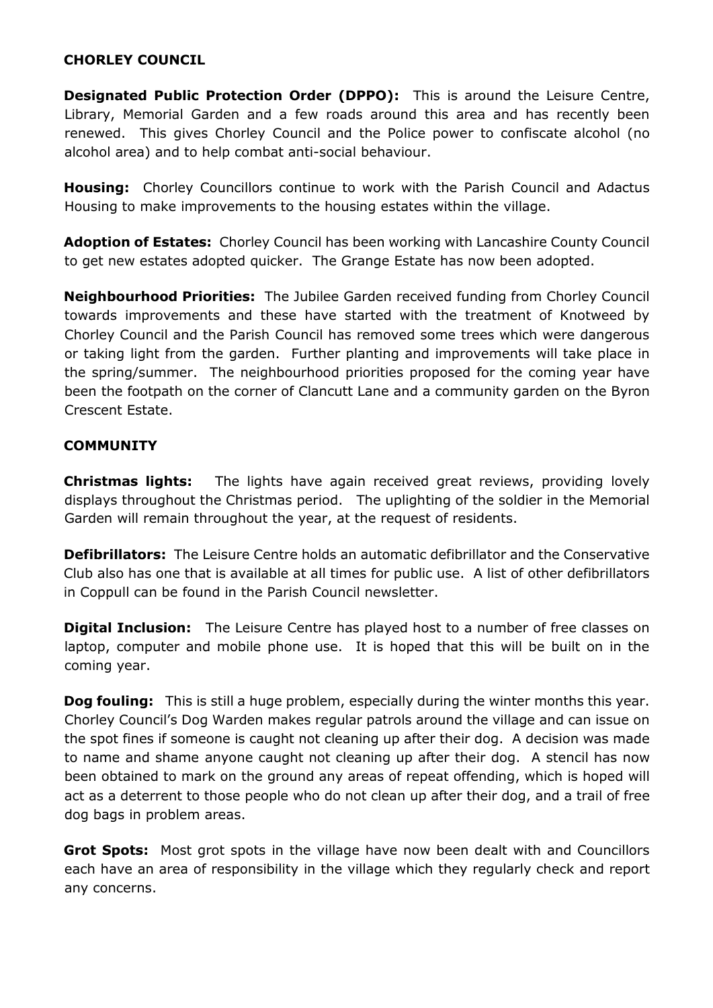#### **CHORLEY COUNCIL**

**Designated Public Protection Order (DPPO):** This is around the Leisure Centre, Library, Memorial Garden and a few roads around this area and has recently been renewed. This gives Chorley Council and the Police power to confiscate alcohol (no alcohol area) and to help combat anti-social behaviour.

**Housing:** Chorley Councillors continue to work with the Parish Council and Adactus Housing to make improvements to the housing estates within the village.

**Adoption of Estates:** Chorley Council has been working with Lancashire County Council to get new estates adopted quicker. The Grange Estate has now been adopted.

**Neighbourhood Priorities:** The Jubilee Garden received funding from Chorley Council towards improvements and these have started with the treatment of Knotweed by Chorley Council and the Parish Council has removed some trees which were dangerous or taking light from the garden. Further planting and improvements will take place in the spring/summer. The neighbourhood priorities proposed for the coming year have been the footpath on the corner of Clancutt Lane and a community garden on the Byron Crescent Estate.

#### **COMMUNITY**

**Christmas lights:** The lights have again received great reviews, providing lovely displays throughout the Christmas period. The uplighting of the soldier in the Memorial Garden will remain throughout the year, at the request of residents.

**Defibrillators:** The Leisure Centre holds an automatic defibrillator and the Conservative Club also has one that is available at all times for public use. A list of other defibrillators in Coppull can be found in the Parish Council newsletter.

**Digital Inclusion:** The Leisure Centre has played host to a number of free classes on laptop, computer and mobile phone use. It is hoped that this will be built on in the coming year.

**Dog fouling:** This is still a huge problem, especially during the winter months this year. Chorley Council's Dog Warden makes regular patrols around the village and can issue on the spot fines if someone is caught not cleaning up after their dog. A decision was made to name and shame anyone caught not cleaning up after their dog. A stencil has now been obtained to mark on the ground any areas of repeat offending, which is hoped will act as a deterrent to those people who do not clean up after their dog, and a trail of free dog bags in problem areas.

**Grot Spots:** Most grot spots in the village have now been dealt with and Councillors each have an area of responsibility in the village which they regularly check and report any concerns.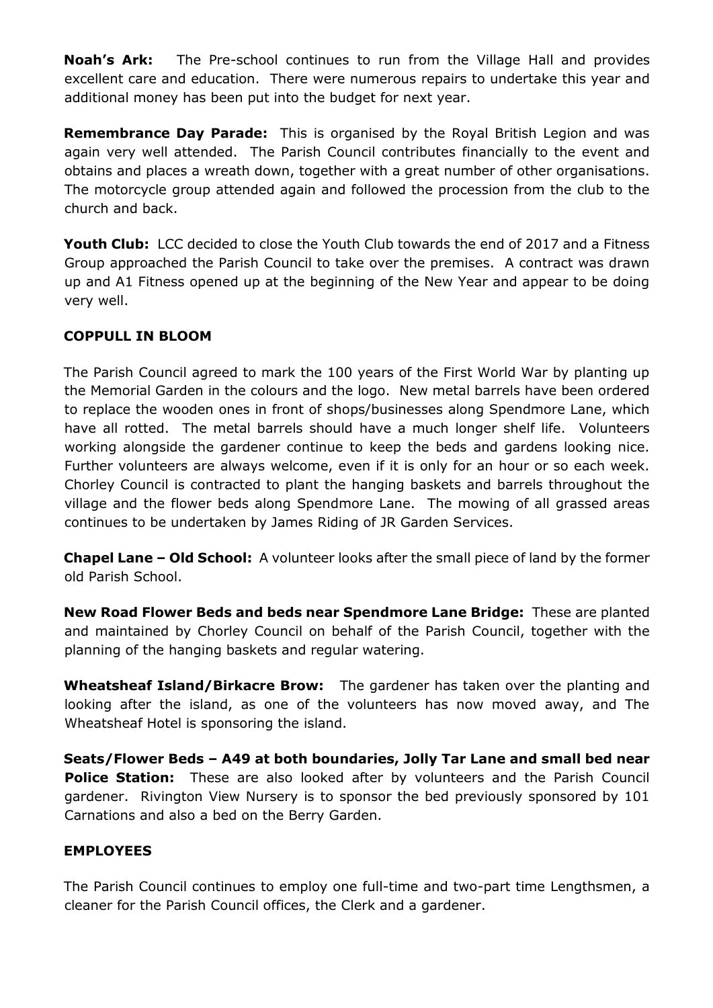**Noah's Ark:** The Pre-school continues to run from the Village Hall and provides excellent care and education. There were numerous repairs to undertake this year and additional money has been put into the budget for next year.

**Remembrance Day Parade:** This is organised by the Royal British Legion and was again very well attended. The Parish Council contributes financially to the event and obtains and places a wreath down, together with a great number of other organisations. The motorcycle group attended again and followed the procession from the club to the church and back.

**Youth Club:** LCC decided to close the Youth Club towards the end of 2017 and a Fitness Group approached the Parish Council to take over the premises. A contract was drawn up and A1 Fitness opened up at the beginning of the New Year and appear to be doing very well.

## **COPPULL IN BLOOM**

The Parish Council agreed to mark the 100 years of the First World War by planting up the Memorial Garden in the colours and the logo. New metal barrels have been ordered to replace the wooden ones in front of shops/businesses along Spendmore Lane, which have all rotted. The metal barrels should have a much longer shelf life. Volunteers working alongside the gardener continue to keep the beds and gardens looking nice. Further volunteers are always welcome, even if it is only for an hour or so each week. Chorley Council is contracted to plant the hanging baskets and barrels throughout the village and the flower beds along Spendmore Lane. The mowing of all grassed areas continues to be undertaken by James Riding of JR Garden Services.

**Chapel Lane – Old School:** A volunteer looks after the small piece of land by the former old Parish School.

**New Road Flower Beds and beds near Spendmore Lane Bridge:** These are planted and maintained by Chorley Council on behalf of the Parish Council, together with the planning of the hanging baskets and regular watering.

**Wheatsheaf Island/Birkacre Brow:** The gardener has taken over the planting and looking after the island, as one of the volunteers has now moved away, and The Wheatsheaf Hotel is sponsoring the island.

**Seats/Flower Beds – A49 at both boundaries, Jolly Tar Lane and small bed near Police Station:** These are also looked after by volunteers and the Parish Council gardener. Rivington View Nursery is to sponsor the bed previously sponsored by 101 Carnations and also a bed on the Berry Garden.

## **EMPLOYEES**

The Parish Council continues to employ one full-time and two-part time Lengthsmen, a cleaner for the Parish Council offices, the Clerk and a gardener.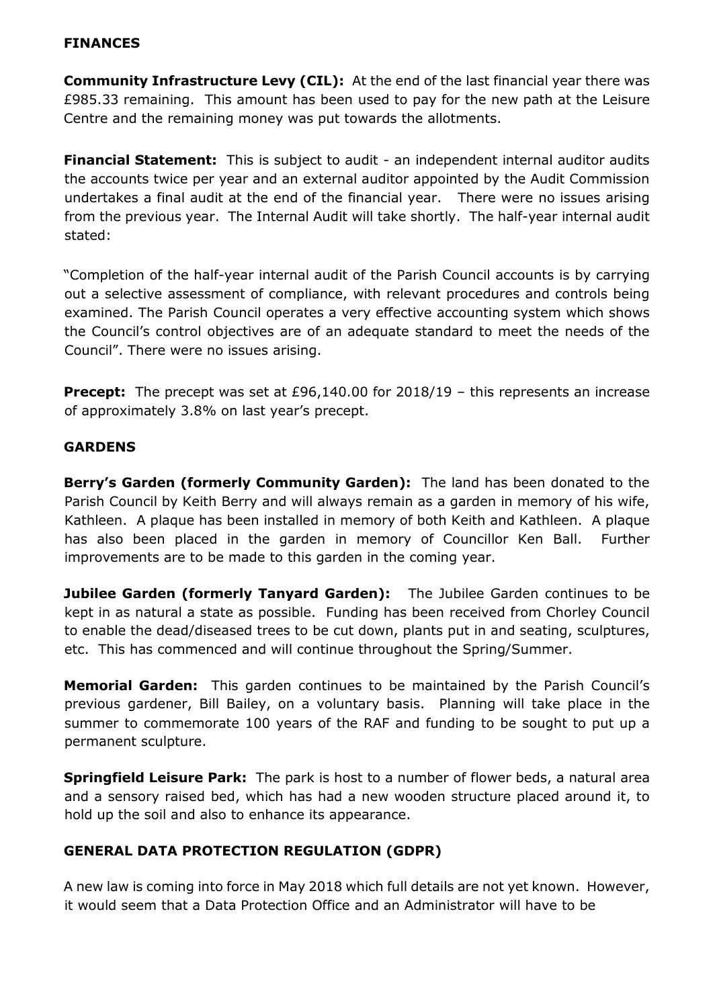#### **FINANCES**

**Community Infrastructure Levy (CIL):** At the end of the last financial year there was £985.33 remaining. This amount has been used to pay for the new path at the Leisure Centre and the remaining money was put towards the allotments.

**Financial Statement:** This is subject to audit - an independent internal auditor audits the accounts twice per year and an external auditor appointed by the Audit Commission undertakes a final audit at the end of the financial year. There were no issues arising from the previous year. The Internal Audit will take shortly. The half-year internal audit stated:

"Completion of the half-year internal audit of the Parish Council accounts is by carrying out a selective assessment of compliance, with relevant procedures and controls being examined. The Parish Council operates a very effective accounting system which shows the Council's control objectives are of an adequate standard to meet the needs of the Council". There were no issues arising.

**Precept:** The precept was set at £96,140.00 for 2018/19 – this represents an increase of approximately 3.8% on last year's precept.

#### **GARDENS**

**Berry's Garden (formerly Community Garden):** The land has been donated to the Parish Council by Keith Berry and will always remain as a garden in memory of his wife, Kathleen. A plaque has been installed in memory of both Keith and Kathleen. A plaque has also been placed in the garden in memory of Councillor Ken Ball. Further improvements are to be made to this garden in the coming year.

**Jubilee Garden (formerly Tanyard Garden):** The Jubilee Garden continues to be kept in as natural a state as possible. Funding has been received from Chorley Council to enable the dead/diseased trees to be cut down, plants put in and seating, sculptures, etc. This has commenced and will continue throughout the Spring/Summer.

**Memorial Garden:** This garden continues to be maintained by the Parish Council's previous gardener, Bill Bailey, on a voluntary basis. Planning will take place in the summer to commemorate 100 years of the RAF and funding to be sought to put up a permanent sculpture.

**Springfield Leisure Park:** The park is host to a number of flower beds, a natural area and a sensory raised bed, which has had a new wooden structure placed around it, to hold up the soil and also to enhance its appearance.

## **GENERAL DATA PROTECTION REGULATION (GDPR)**

A new law is coming into force in May 2018 which full details are not yet known. However, it would seem that a Data Protection Office and an Administrator will have to be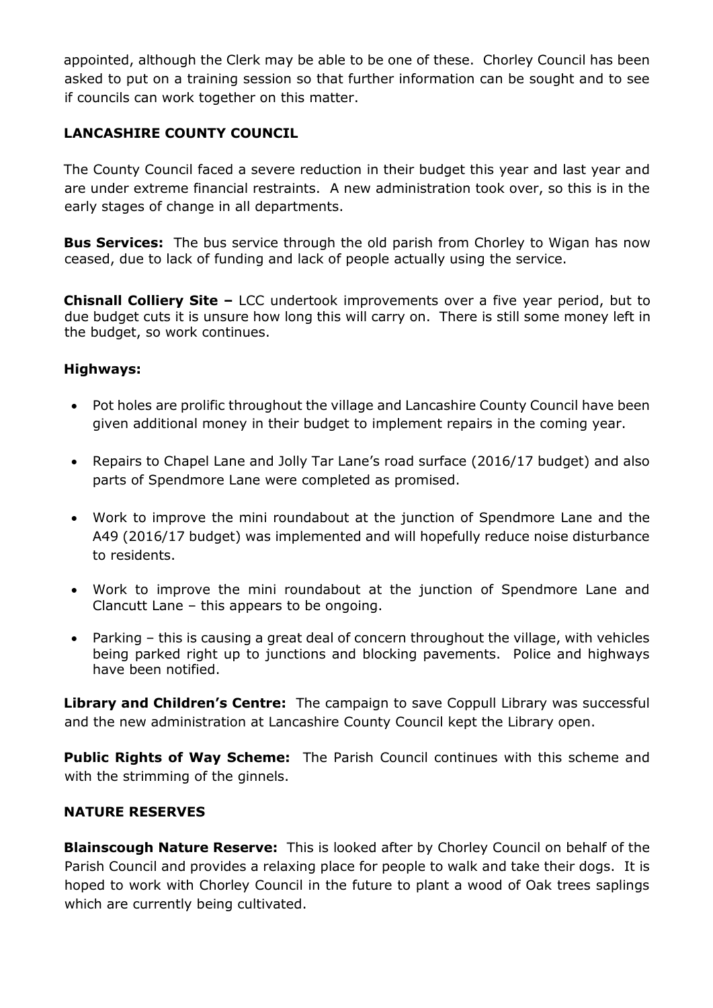appointed, although the Clerk may be able to be one of these. Chorley Council has been asked to put on a training session so that further information can be sought and to see if councils can work together on this matter.

## **LANCASHIRE COUNTY COUNCIL**

The County Council faced a severe reduction in their budget this year and last year and are under extreme financial restraints. A new administration took over, so this is in the early stages of change in all departments.

**Bus Services:** The bus service through the old parish from Chorley to Wigan has now ceased, due to lack of funding and lack of people actually using the service.

**Chisnall Colliery Site –** LCC undertook improvements over a five year period, but to due budget cuts it is unsure how long this will carry on. There is still some money left in the budget, so work continues.

#### **Highways:**

- Pot holes are prolific throughout the village and Lancashire County Council have been given additional money in their budget to implement repairs in the coming year.
- Repairs to Chapel Lane and Jolly Tar Lane's road surface (2016/17 budget) and also parts of Spendmore Lane were completed as promised.
- Work to improve the mini roundabout at the junction of Spendmore Lane and the A49 (2016/17 budget) was implemented and will hopefully reduce noise disturbance to residents.
- Work to improve the mini roundabout at the junction of Spendmore Lane and Clancutt Lane – this appears to be ongoing.
- Parking this is causing a great deal of concern throughout the village, with vehicles being parked right up to junctions and blocking pavements. Police and highways have been notified.

**Library and Children's Centre:** The campaign to save Coppull Library was successful and the new administration at Lancashire County Council kept the Library open.

**Public Rights of Way Scheme:** The Parish Council continues with this scheme and with the strimming of the ginnels.

#### **NATURE RESERVES**

**Blainscough Nature Reserve:** This is looked after by Chorley Council on behalf of the Parish Council and provides a relaxing place for people to walk and take their dogs. It is hoped to work with Chorley Council in the future to plant a wood of Oak trees saplings which are currently being cultivated.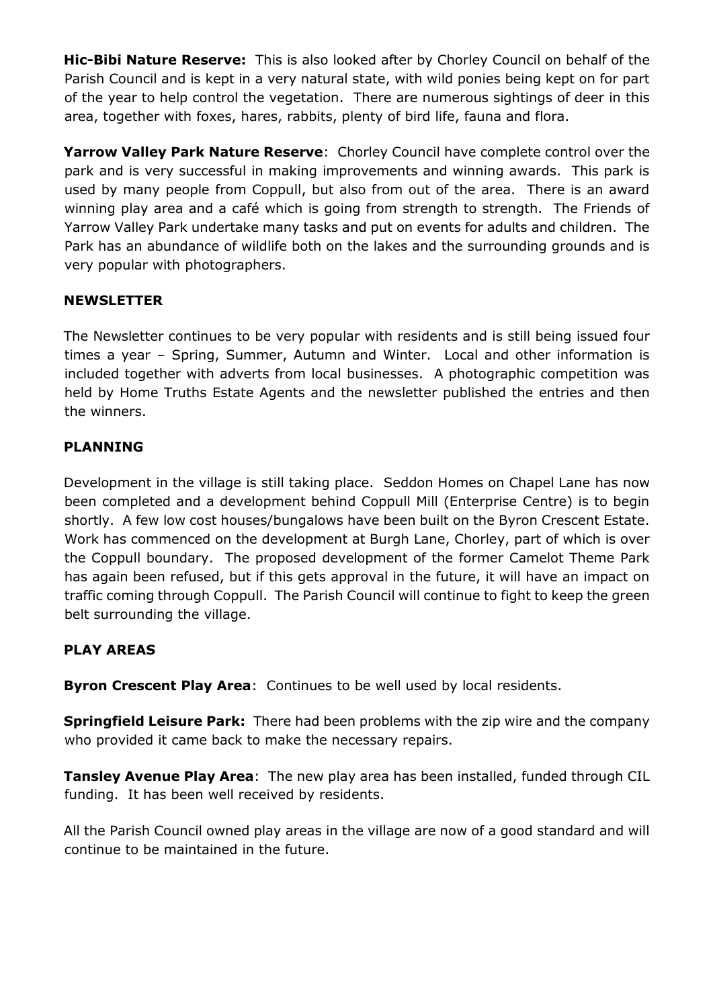**Hic-Bibi Nature Reserve:** This is also looked after by Chorley Council on behalf of the Parish Council and is kept in a very natural state, with wild ponies being kept on for part of the year to help control the vegetation. There are numerous sightings of deer in this area, together with foxes, hares, rabbits, plenty of bird life, fauna and flora.

**Yarrow Valley Park Nature Reserve**: Chorley Council have complete control over the park and is very successful in making improvements and winning awards. This park is used by many people from Coppull, but also from out of the area. There is an award winning play area and a café which is going from strength to strength. The Friends of Yarrow Valley Park undertake many tasks and put on events for adults and children. The Park has an abundance of wildlife both on the lakes and the surrounding grounds and is very popular with photographers.

## **NEWSLETTER**

The Newsletter continues to be very popular with residents and is still being issued four times a year – Spring, Summer, Autumn and Winter. Local and other information is included together with adverts from local businesses. A photographic competition was held by Home Truths Estate Agents and the newsletter published the entries and then the winners.

## **PLANNING**

Development in the village is still taking place. Seddon Homes on Chapel Lane has now been completed and a development behind Coppull Mill (Enterprise Centre) is to begin shortly. A few low cost houses/bungalows have been built on the Byron Crescent Estate. Work has commenced on the development at Burgh Lane, Chorley, part of which is over the Coppull boundary. The proposed development of the former Camelot Theme Park has again been refused, but if this gets approval in the future, it will have an impact on traffic coming through Coppull. The Parish Council will continue to fight to keep the green belt surrounding the village.

## **PLAY AREAS**

**Byron Crescent Play Area**: Continues to be well used by local residents.

**Springfield Leisure Park:** There had been problems with the zip wire and the company who provided it came back to make the necessary repairs.

**Tansley Avenue Play Area**: The new play area has been installed, funded through CIL funding. It has been well received by residents.

All the Parish Council owned play areas in the village are now of a good standard and will continue to be maintained in the future.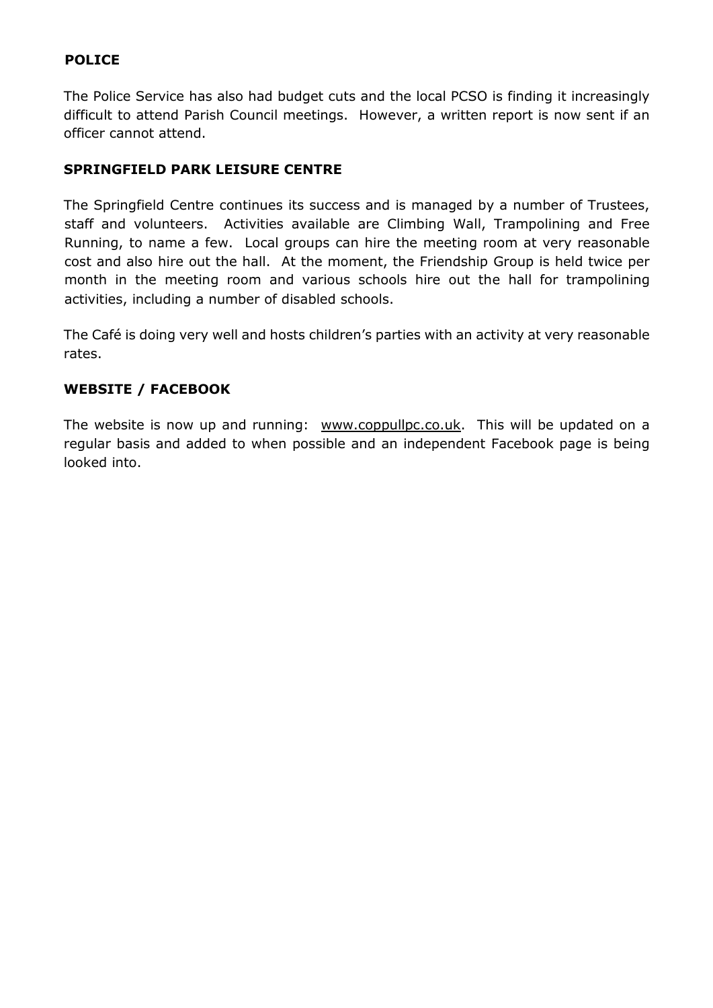## **POLICE**

The Police Service has also had budget cuts and the local PCSO is finding it increasingly difficult to attend Parish Council meetings. However, a written report is now sent if an officer cannot attend.

#### **SPRINGFIELD PARK LEISURE CENTRE**

The Springfield Centre continues its success and is managed by a number of Trustees, staff and volunteers. Activities available are Climbing Wall, Trampolining and Free Running, to name a few. Local groups can hire the meeting room at very reasonable cost and also hire out the hall. At the moment, the Friendship Group is held twice per month in the meeting room and various schools hire out the hall for trampolining activities, including a number of disabled schools.

The Café is doing very well and hosts children's parties with an activity at very reasonable rates.

#### **WEBSITE / FACEBOOK**

The website is now up and running: [www.coppullpc.co.uk.](http://www.coppullpc.co.uk/) This will be updated on a regular basis and added to when possible and an independent Facebook page is being looked into.